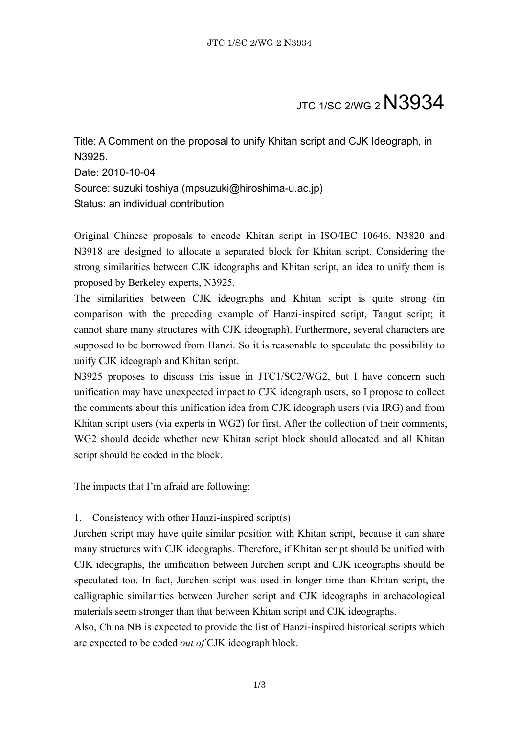## **JTC 1/SC 2/WG 2 N3934**

Title: A Comment on the proposal to unify Khitan script and CJK Ideograph, in N3925. Date: 2010-10-04 Source: suzuki toshiya (mpsuzuki@hiroshima-u.ac.jp) Status: an individual contribution

Original Chinese proposals to encode Khitan script in ISO/IEC 10646, N3820 and N3918 are designed to allocate a separated block for Khitan script. Considering the strong similarities between CJK ideographs and Khitan script, an idea to unify them is proposed by Berkeley experts, N3925.

The similarities between CJK ideographs and Khitan script is quite strong (in comparison with the preceding example of Hanzi-inspired script, Tangut script; it cannot share many structures with CJK ideograph). Furthermore, several characters are supposed to be borrowed from Hanzi. So it is reasonable to speculate the possibility to unify CJK ideograph and Khitan script.

N3925 proposes to discuss this issue in JTC1/SC2/WG2, but I have concern such unification may have unexpected impact to CJK ideograph users, so I propose to collect the comments about this unification idea from CJK ideograph users (via IRG) and from Khitan script users (via experts in WG2) for first. After the collection of their comments, WG2 should decide whether new Khitan script block should allocated and all Khitan script should be coded in the block.

The impacts that I'm afraid are following:

## 1. Consistency with other Hanzi-inspired script(s)

Jurchen script may have quite similar position with Khitan script, because it can share many structures with CJK ideographs. Therefore, if Khitan script should be unified with CJK ideographs, the unification between Jurchen script and CJK ideographs should be speculated too. In fact, Jurchen script was used in longer time than Khitan script, the calligraphic similarities between Jurchen script and CJK ideographs in archaeological materials seem stronger than that between Khitan script and CJK ideographs.

Also, China NB is expected to provide the list of Hanzi-inspired historical scripts which are expected to be coded *out of* CJK ideograph block.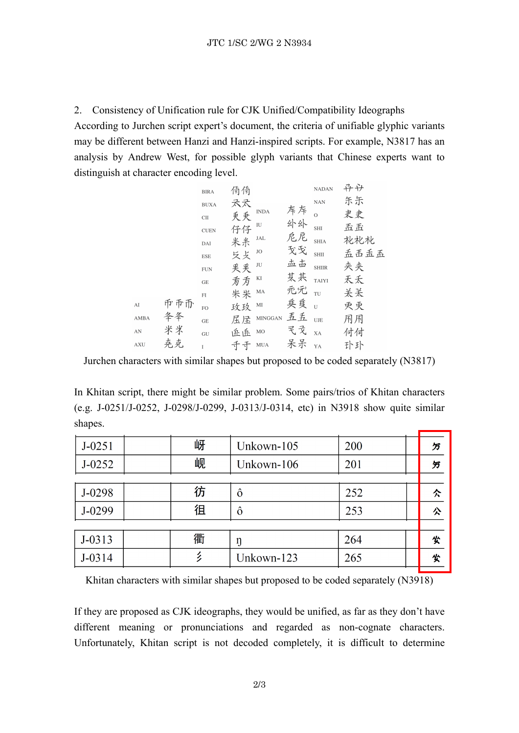2. Consistency of Unification rule for CJK Unified/Compatibility Ideographs According to Jurchen script expert's document, the criteria of unifiable glyphic variants may be different between Hanzi and Hanzi-inspired scripts. For example, N3817 has an analysis by Andrew West, for possible glyph variants that Chinese experts want to distinguish at character encoding level.

|                        |     | <b>BIRA</b>                | 俑俑 |             |      | <b>NADAN</b> | 규규   |
|------------------------|-----|----------------------------|----|-------------|------|--------------|------|
|                        |     | <b>BUXA</b>                | 天天 |             |      | <b>NAN</b>   | 乐乐   |
|                        |     | $\rm CII$                  | 秉秉 | <b>INDA</b> | 斥斥   | $\Omega$     | 史史   |
|                        |     | <b>CUEN</b>                | 仔仔 | IU          | 外外   | <b>SHI</b>   | 五五   |
|                        |     | DAI                        | 米米 | JAL         | 危尼   | <b>SHIA</b>  | 花花札  |
|                        |     | <b>ESE</b>                 | 反支 | JO          | 戈戈   | <b>SHII</b>  | 孟禹孟孟 |
|                        |     | <b>FUN</b>                 | 买买 | JU          | 盂击   | <b>SHIIR</b> | 夹夹   |
|                        |     | $\operatorname{GE}$        | 叐方 | KI          | 某共   | <b>TAIYI</b> | 天天   |
|                        |     | $\mathop{\rm FI}\nolimits$ | 米米 | $\rm MA$    | 元冗   | TU           | 关关   |
| AI                     | 币币币 | FO                         | 玫玫 | MI          | 兵兵 u |              | 灭灭   |
| AMBA                   | 夅夅  | GE                         | 屈压 | MINGGAN 五五  |      | UJE          | 用用   |
| $\mathbf{A}\mathbf{N}$ | 米米  | GU                         | 丘丘 | $_{\rm MO}$ | 民文   | XA           | 付付   |
| <b>AXU</b>             | 克克  | $\mathbf{I}$               | 千千 | $\rm MUA$   | 呆呆   | YA           | 扑扑   |
|                        |     |                            |    |             |      |              |      |

Jurchen characters with similar shapes but proposed to be coded separately (N3817)

In Khitan script, there might be similar problem. Some pairs/trios of Khitan characters (e.g. J-0251/J-0252, J-0298/J-0299, J-0313/J-0314, etc) in N3918 show quite similar shapes.

| $J - 0251$ | 岈 | Unkown-105 | 200 | 万 |
|------------|---|------------|-----|---|
| $J - 0252$ | 岘 | Unkown-106 | 201 | 氕 |
|            |   |            |     |   |
| J-0298     | 彷 | ô          | 252 | へ |
| J-0299     | 徂 | ô          | 253 | 公 |
|            |   |            |     |   |
| $J - 0313$ | 衢 | ŋ          | 264 | 尖 |
| $J - 0314$ |   | Unkown-123 | 265 | 尖 |

Khitan characters with similar shapes but proposed to be coded separately (N3918)

If they are proposed as CJK ideographs, they would be unified, as far as they don't have different meaning or pronunciations and regarded as non-cognate characters. Unfortunately, Khitan script is not decoded completely, it is difficult to determine